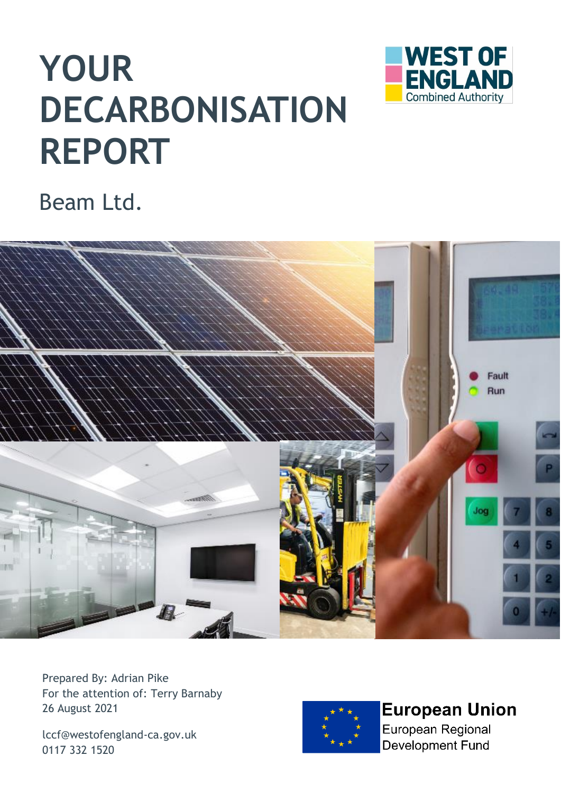# **YOUR DECARBONISATION REPORT**



## Beam Ltd.



Prepared By: Adrian Pike For the attention of: Terry Barnaby 26 August 2021

[lccf@westofengland-ca.gov.uk](mailto:lccf@westofengland-ca.gov.uk) 0117 332 1520



**European Union** European Regional

**Development Fund**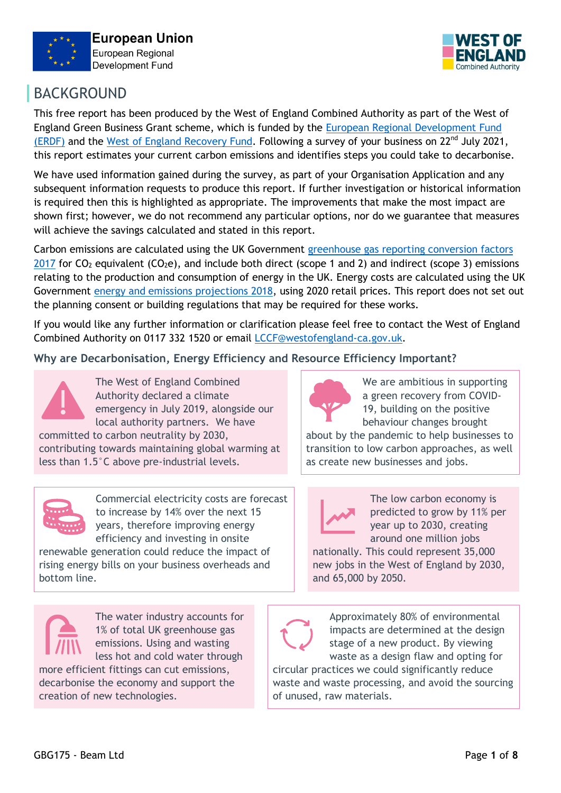



## BACKGROUND

This free report has been produced by the West of England Combined Authority as part of the West of England Green Business Grant scheme, which is funded by the [European Regional Development Fund](https://www.gov.uk/government/publications/draft-european-regional-development-fund-operational-programme-2014-to-2020)  [\(ERDF\)](https://www.gov.uk/government/publications/draft-european-regional-development-fund-operational-programme-2014-to-2020) and the [West of England Recovery Fund.](https://www.westofengland-ca.gov.uk/west-of-england-regional-recovery-taskforce-our-recovery-plan/) Following a survey of your business on 22<sup>nd</sup> July 2021, this report estimates your current carbon emissions and identifies steps you could take to decarbonise.

We have used information gained during the survey, as part of your Organisation Application and any subsequent information requests to produce this report. If further investigation or historical information is required then this is highlighted as appropriate. The improvements that make the most impact are shown first; however, we do not recommend any particular options, nor do we guarantee that measures will achieve the savings calculated and stated in this report.

Carbon emissions are calculated using the UK Government [greenhouse gas reporting conversion factors](https://www.gov.uk/government/publications/greenhouse-gas-reporting-conversion-factors-2017)  [2017](https://www.gov.uk/government/publications/greenhouse-gas-reporting-conversion-factors-2017) for CO<sub>2</sub> equivalent (CO<sub>2</sub>e), and include both direct (scope 1 and 2) and indirect (scope 3) emissions relating to the production and consumption of energy in the UK. Energy costs are calculated using the UK Government [energy and emissions projections 2018,](https://www.gov.uk/government/publications/updated-energy-and-emissions-projections-2018) using 2020 retail prices. This report does not set out the planning consent or building regulations that may be required for these works.

If you would like any further information or clarification please feel free to contact the West of England Combined Authority on 0117 332 1520 or email [LCCF@westofengland-ca.gov.uk.](mailto:LCCF@westofengland-ca.gov.uk)

**Why are Decarbonisation, Energy Efficiency and Resource Efficiency Important?**



The West of England Combined Authority declared a climate emergency in July 2019, alongside our local authority partners. We have

committed to carbon neutrality by 2030, contributing towards maintaining global warming at less than 1.5°C above pre-industrial levels.



Commercial electricity costs are forecast to increase by 14% over the next 15 years, therefore improving energy efficiency and investing in onsite

renewable generation could reduce the impact of rising energy bills on your business overheads and bottom line.



The water industry accounts for 1% of total UK greenhouse gas emissions. Using and wasting

less hot and cold water through more efficient fittings can cut emissions, decarbonise the economy and support the creation of new technologies.



We are ambitious in supporting a green recovery from COVID-19, building on the positive behaviour changes brought

about by the pandemic to help businesses to transition to low carbon approaches, as well as create new businesses and jobs.



The low carbon economy is predicted to grow by 11% per year up to 2030, creating around one million jobs

nationally. This could represent 35,000 new jobs in the West of England by 2030, and 65,000 by 2050.

Approximately 80% of environmental impacts are determined at the design stage of a new product. By viewing waste as a design flaw and opting for

circular practices we could significantly reduce waste and waste processing, and avoid the sourcing of unused, raw materials.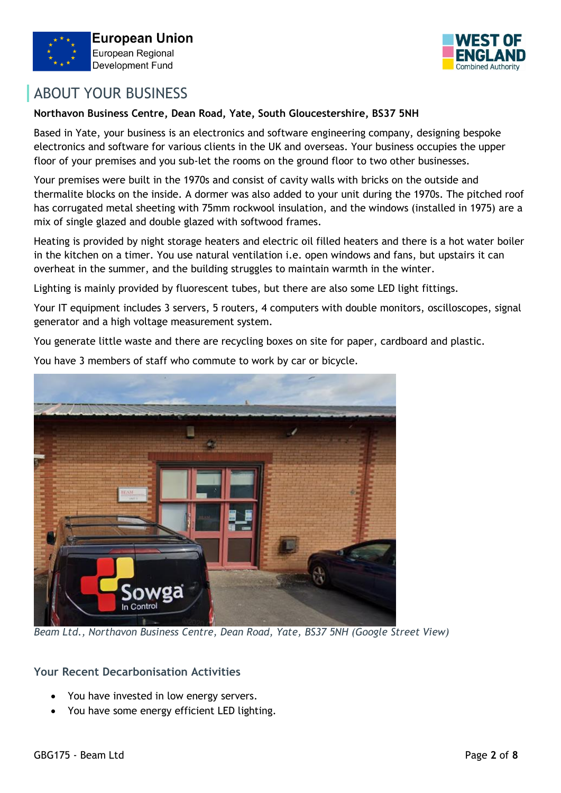



## ABOUT YOUR BUSINESS

#### **Northavon Business Centre, Dean Road, Yate, South Gloucestershire, BS37 5NH**

Based in Yate, your business is an electronics and software engineering company, designing bespoke electronics and software for various clients in the UK and overseas. Your business occupies the upper floor of your premises and you sub-let the rooms on the ground floor to two other businesses.

Your premises were built in the 1970s and consist of cavity walls with bricks on the outside and thermalite blocks on the inside. A dormer was also added to your unit during the 1970s. The pitched roof has corrugated metal sheeting with 75mm rockwool insulation, and the windows (installed in 1975) are a mix of single glazed and double glazed with softwood frames.

Heating is provided by night storage heaters and electric oil filled heaters and there is a hot water boiler in the kitchen on a timer. You use natural ventilation i.e. open windows and fans, but upstairs it can overheat in the summer, and the building struggles to maintain warmth in the winter.

Lighting is mainly provided by fluorescent tubes, but there are also some LED light fittings.

Your IT equipment includes 3 servers, 5 routers, 4 computers with double monitors, oscilloscopes, signal generator and a high voltage measurement system.

You generate little waste and there are recycling boxes on site for paper, cardboard and plastic.

You have 3 members of staff who commute to work by car or bicycle.



*Beam Ltd., Northavon Business Centre, Dean Road, Yate, BS37 5NH (Google Street View)*

#### **Your Recent Decarbonisation Activities**

- You have invested in low energy servers.
- You have some energy efficient LED lighting.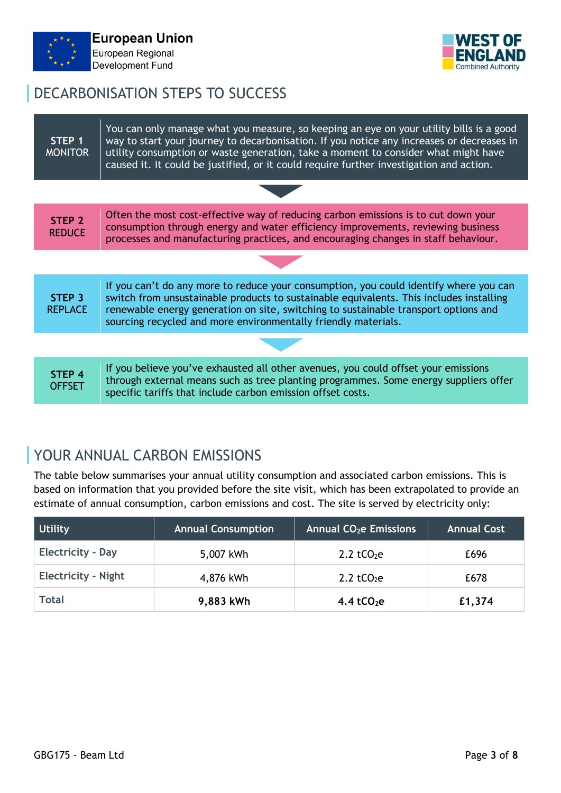



## DECARBONISATION STEPS TO SUCCESS

| STEP 1<br><b>MONITOR</b>            | You can only manage what you measure, so keeping an eye on your utility bills is a good<br>way to start your journey to decarbonisation. If you notice any increases or decreases in<br>utility consumption or waste generation, take a moment to consider what might have<br>caused it. It could be justified, or it could require further investigation and action. |  |  |  |  |
|-------------------------------------|-----------------------------------------------------------------------------------------------------------------------------------------------------------------------------------------------------------------------------------------------------------------------------------------------------------------------------------------------------------------------|--|--|--|--|
|                                     |                                                                                                                                                                                                                                                                                                                                                                       |  |  |  |  |
| STEP <sub>2</sub><br><b>REDUCE</b>  | Often the most cost-effective way of reducing carbon emissions is to cut down your<br>consumption through energy and water efficiency improvements, reviewing business<br>processes and manufacturing practices, and encouraging changes in staff behaviour.                                                                                                          |  |  |  |  |
|                                     |                                                                                                                                                                                                                                                                                                                                                                       |  |  |  |  |
| STEP <sub>3</sub><br><b>REPLACE</b> | If you can't do any more to reduce your consumption, you could identify where you can<br>switch from unsustainable products to sustainable equivalents. This includes installing<br>renewable energy generation on site, switching to sustainable transport options and<br>sourcing recycled and more environmentally friendly materials.                             |  |  |  |  |
|                                     |                                                                                                                                                                                                                                                                                                                                                                       |  |  |  |  |
| STEP <sub>4</sub><br><b>OFFSET</b>  | If you believe you've exhausted all other avenues, you could offset your emissions<br>through external means such as tree planting programmes. Some energy suppliers offer<br>specific tariffs that include carbon emission offset costs.                                                                                                                             |  |  |  |  |

## YOUR ANNUAL CARBON EMISSIONS

The table below summarises your annual utility consumption and associated carbon emissions. This is based on information that you provided before the site visit, which has been extrapolated to provide an estimate of annual consumption, carbon emissions and cost. The site is served by electricity only:

| Utility                    | <b>Annual Consumption</b> | <b>Annual CO<sub>2</sub>e Emissions</b> | <b>Annual Cost</b> |
|----------------------------|---------------------------|-----------------------------------------|--------------------|
| <b>Electricity - Day</b>   | 5,007 kWh                 | 2.2 tCO <sub>2</sub> e                  | £696               |
| <b>Electricity - Night</b> | 4,876 kWh                 | 2.2 tCO <sub>2</sub> e                  | £678               |
| <b>Total</b>               | 9,883 kWh                 | 4.4 tCO <sub>2</sub> e                  | £1,374             |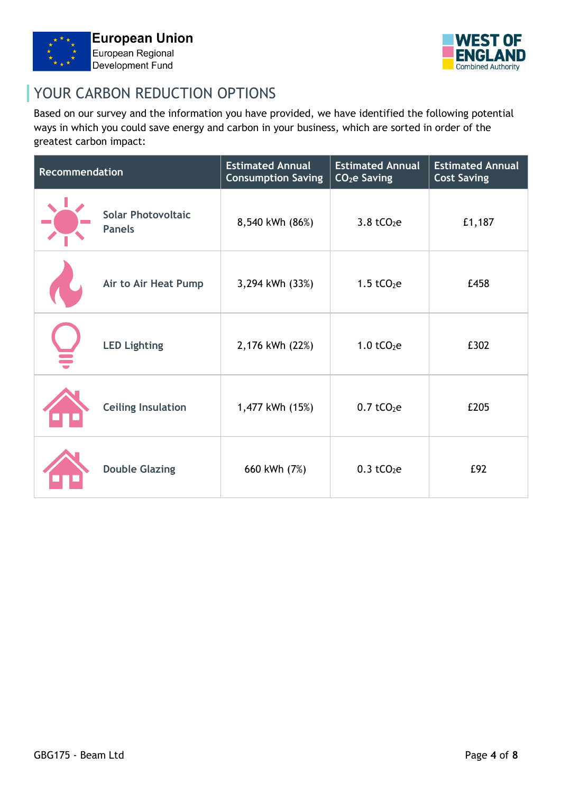



## YOUR CARBON REDUCTION OPTIONS

Based on our survey and the information you have provided, we have identified the following potential ways in which you could save energy and carbon in your business, which are sorted in order of the greatest carbon impact:

| Recommendation |                                            | <b>Estimated Annual</b><br><b>Consumption Saving</b> | <b>Estimated Annual</b><br>CO <sub>2</sub> e Saving | <b>Estimated Annual</b><br><b>Cost Saving</b> |
|----------------|--------------------------------------------|------------------------------------------------------|-----------------------------------------------------|-----------------------------------------------|
|                | <b>Solar Photovoltaic</b><br><b>Panels</b> | 8,540 kWh (86%)                                      | $3.8$ tCO <sub>2</sub> e                            | £1,187                                        |
|                | Air to Air Heat Pump                       | 3,294 kWh (33%)                                      | $1.5$ tCO <sub>2</sub> e                            | £458                                          |
|                | <b>LED Lighting</b>                        | 2,176 kWh (22%)                                      | $1.0$ tCO <sub>2</sub> e                            | £302                                          |
|                | <b>Ceiling Insulation</b>                  | 1,477 kWh (15%)                                      | $0.7$ tCO <sub>2</sub> e                            | £205                                          |
|                | <b>Double Glazing</b>                      | 660 kWh (7%)                                         | $0.3$ tCO <sub>2</sub> e                            | £92                                           |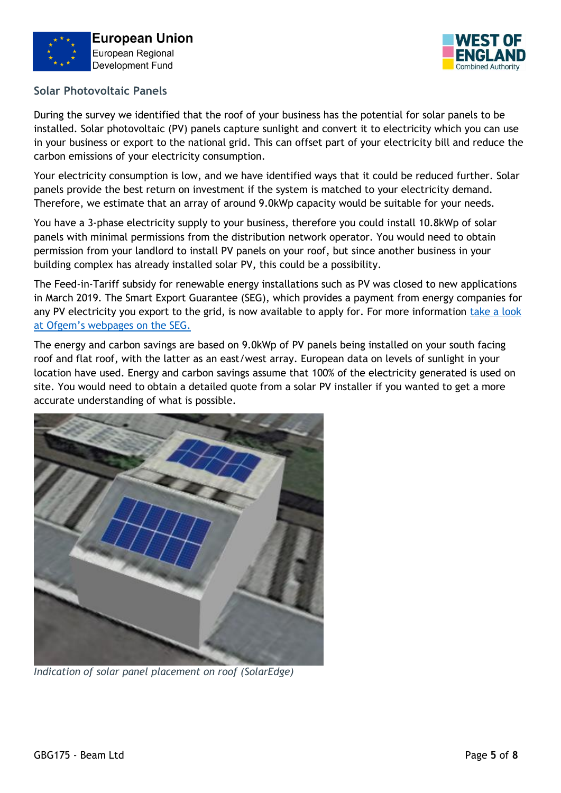



### **Solar Photovoltaic Panels**

During the survey we identified that the roof of your business has the potential for solar panels to be installed. Solar photovoltaic (PV) panels capture sunlight and convert it to electricity which you can use in your business or export to the national grid. This can offset part of your electricity bill and reduce the carbon emissions of your electricity consumption.

Your electricity consumption is low, and we have identified ways that it could be reduced further. Solar panels provide the best return on investment if the system is matched to your electricity demand. Therefore, we estimate that an array of around 9.0kWp capacity would be suitable for your needs.

You have a 3-phase electricity supply to your business, therefore you could install 10.8kWp of solar panels with minimal permissions from the distribution network operator. You would need to obtain permission from your landlord to install PV panels on your roof, but since another business in your building complex has already installed solar PV, this could be a possibility.

The Feed-in-Tariff subsidy for renewable energy installations such as PV was closed to new applications in March 2019. The Smart Export Guarantee (SEG), which provides a payment from energy companies for any PV electricity you export to the grid, is now available to apply for. For more information [take a look](https://www.ofgem.gov.uk/environmental-programmes/smart-export-guarantee-seg/about-smart-export-guarantee-seg)  [at Ofgem's webpages on the SEG.](https://www.ofgem.gov.uk/environmental-programmes/smart-export-guarantee-seg/about-smart-export-guarantee-seg)

The energy and carbon savings are based on 9.0kWp of PV panels being installed on your south facing roof and flat roof, with the latter as an east/west array. European data on levels of sunlight in your location have used. Energy and carbon savings assume that 100% of the electricity generated is used on site. You would need to obtain a detailed quote from a solar PV installer if you wanted to get a more accurate understanding of what is possible.



*Indication of solar panel placement on roof (SolarEdge)*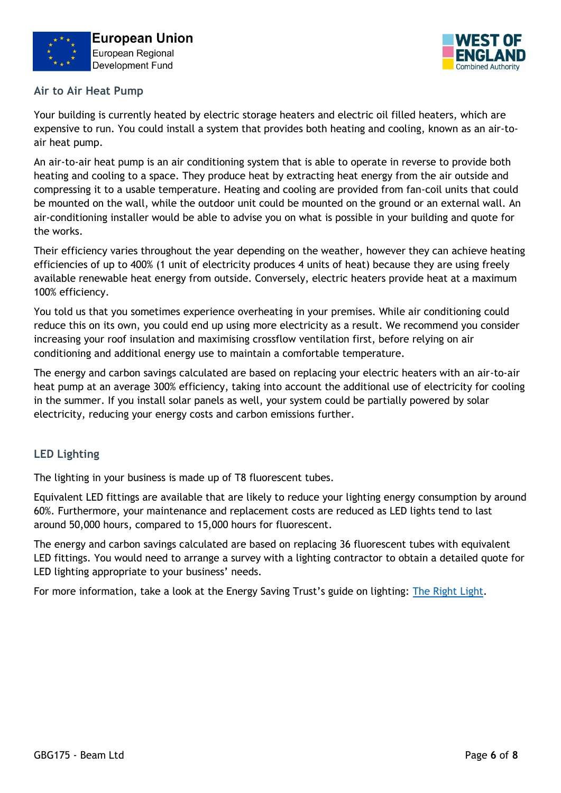



#### **Air to Air Heat Pump**

Your building is currently heated by electric storage heaters and electric oil filled heaters, which are expensive to run. You could install a system that provides both heating and cooling, known as an air-toair heat pump.

An air-to-air heat pump is an air conditioning system that is able to operate in reverse to provide both heating and cooling to a space. They produce heat by extracting heat energy from the air outside and compressing it to a usable temperature. Heating and cooling are provided from fan-coil units that could be mounted on the wall, while the outdoor unit could be mounted on the ground or an external wall. An air-conditioning installer would be able to advise you on what is possible in your building and quote for the works.

Their efficiency varies throughout the year depending on the weather, however they can achieve heating efficiencies of up to 400% (1 unit of electricity produces 4 units of heat) because they are using freely available renewable heat energy from outside. Conversely, electric heaters provide heat at a maximum 100% efficiency.

You told us that you sometimes experience overheating in your premises. While air conditioning could reduce this on its own, you could end up using more electricity as a result. We recommend you consider increasing your roof insulation and maximising crossflow ventilation first, before relying on air conditioning and additional energy use to maintain a comfortable temperature.

The energy and carbon savings calculated are based on replacing your electric heaters with an air-to-air heat pump at an average 300% efficiency, taking into account the additional use of electricity for cooling in the summer. If you install solar panels as well, your system could be partially powered by solar electricity, reducing your energy costs and carbon emissions further.

#### **LED Lighting**

The lighting in your business is made up of T8 fluorescent tubes.

Equivalent LED fittings are available that are likely to reduce your lighting energy consumption by around 60%. Furthermore, your maintenance and replacement costs are reduced as LED lights tend to last around 50,000 hours, compared to 15,000 hours for fluorescent.

The energy and carbon savings calculated are based on replacing 36 fluorescent tubes with equivalent LED fittings. You would need to arrange a survey with a lighting contractor to obtain a detailed quote for LED lighting appropriate to your business' needs.

For more information, take a look at the Energy Saving Trust's guide on lighting: [The Right Light.](https://www.energysavingtrust.org.uk/sites/default/files/reports/EST%20Lighting%20Guide%20-%20the%20Right%20Light.pdf)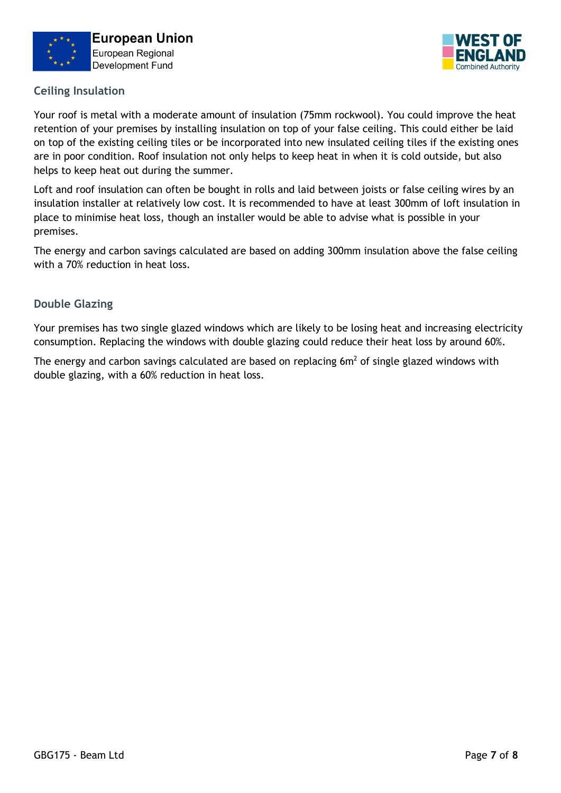



### **Ceiling Insulation**

Your roof is metal with a moderate amount of insulation (75mm rockwool). You could improve the heat retention of your premises by installing insulation on top of your false ceiling. This could either be laid on top of the existing ceiling tiles or be incorporated into new insulated ceiling tiles if the existing ones are in poor condition. Roof insulation not only helps to keep heat in when it is cold outside, but also helps to keep heat out during the summer.

Loft and roof insulation can often be bought in rolls and laid between joists or false ceiling wires by an insulation installer at relatively low cost. It is recommended to have at least 300mm of loft insulation in place to minimise heat loss, though an installer would be able to advise what is possible in your premises.

The energy and carbon savings calculated are based on adding 300mm insulation above the false ceiling with a 70% reduction in heat loss.

### **Double Glazing**

Your premises has two single glazed windows which are likely to be losing heat and increasing electricity consumption. Replacing the windows with double glazing could reduce their heat loss by around 60%.

The energy and carbon savings calculated are based on replacing  $6m<sup>2</sup>$  of single glazed windows with double glazing, with a 60% reduction in heat loss.